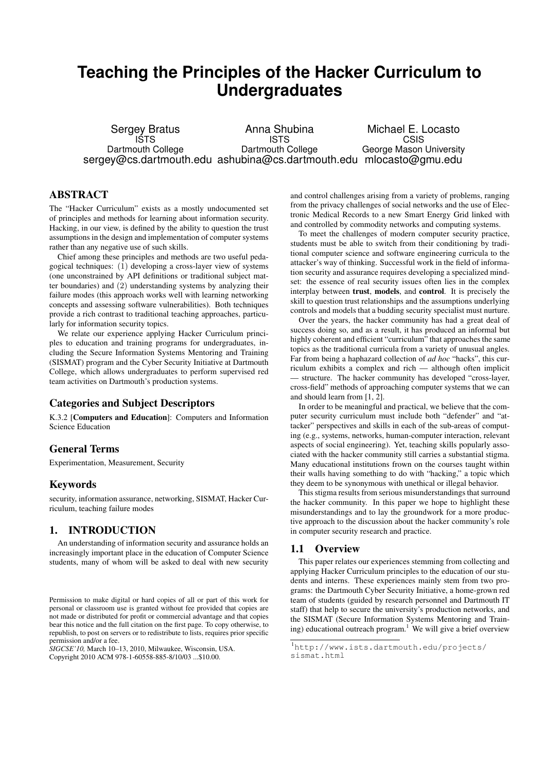# **Teaching the Principles of the Hacker Curriculum to Undergraduates**

Sergey Bratus ISTS Dartmouth College sergey@cs.dartmouth.edu ashubina@cs.dartmouth.edu mlocasto@gmu.edu

Anna Shubina ISTS Dartmouth College

Michael E. Locasto **CSIS** George Mason University

## ABSTRACT

The "Hacker Curriculum" exists as a mostly undocumented set of principles and methods for learning about information security. Hacking, in our view, is defined by the ability to question the trust assumptions in the design and implementation of computer systems rather than any negative use of such skills.

Chief among these principles and methods are two useful pedagogical techniques: (1) developing a cross-layer view of systems (one unconstrained by API definitions or traditional subject matter boundaries) and (2) understanding systems by analyzing their failure modes (this approach works well with learning networking concepts and assessing software vulnerabilities). Both techniques provide a rich contrast to traditional teaching approaches, particularly for information security topics.

We relate our experience applying Hacker Curriculum principles to education and training programs for undergraduates, including the Secure Information Systems Mentoring and Training (SISMAT) program and the Cyber Security Initiative at Dartmouth College, which allows undergraduates to perform supervised red team activities on Dartmouth's production systems.

#### Categories and Subject Descriptors

K.3.2 [Computers and Education]: Computers and Information Science Education

#### General Terms

Experimentation, Measurement, Security

#### Keywords

security, information assurance, networking, SISMAT, Hacker Curriculum, teaching failure modes

## 1. INTRODUCTION

An understanding of information security and assurance holds an increasingly important place in the education of Computer Science students, many of whom will be asked to deal with new security

*SIGCSE'10,* March 10–13, 2010, Milwaukee, Wisconsin, USA. Copyright 2010 ACM 978-1-60558-885-8/10/03 ...\$10.00.

and control challenges arising from a variety of problems, ranging from the privacy challenges of social networks and the use of Electronic Medical Records to a new Smart Energy Grid linked with and controlled by commodity networks and computing systems.

To meet the challenges of modern computer security practice, students must be able to switch from their conditioning by traditional computer science and software engineering curricula to the attacker's way of thinking. Successful work in the field of information security and assurance requires developing a specialized mindset: the essence of real security issues often lies in the complex interplay between trust, models, and control. It is precisely the skill to question trust relationships and the assumptions underlying controls and models that a budding security specialist must nurture.

Over the years, the hacker community has had a great deal of success doing so, and as a result, it has produced an informal but highly coherent and efficient "curriculum" that approaches the same topics as the traditional curricula from a variety of unusual angles. Far from being a haphazard collection of *ad hoc* "hacks", this curriculum exhibits a complex and rich — although often implicit structure. The hacker community has developed "cross-layer, cross-field" methods of approaching computer systems that we can and should learn from [1, 2].

In order to be meaningful and practical, we believe that the computer security curriculum must include both "defender" and "attacker" perspectives and skills in each of the sub-areas of computing (e.g., systems, networks, human-computer interaction, relevant aspects of social engineering). Yet, teaching skills popularly associated with the hacker community still carries a substantial stigma. Many educational institutions frown on the courses taught within their walls having something to do with "hacking," a topic which they deem to be synonymous with unethical or illegal behavior.

This stigma results from serious misunderstandings that surround the hacker community. In this paper we hope to highlight these misunderstandings and to lay the groundwork for a more productive approach to the discussion about the hacker community's role in computer security research and practice.

#### 1.1 Overview

This paper relates our experiences stemming from collecting and applying Hacker Curriculum principles to the education of our students and interns. These experiences mainly stem from two programs: the Dartmouth Cyber Security Initiative, a home-grown red team of students (guided by research personnel and Dartmouth IT staff) that help to secure the university's production networks, and the SISMAT (Secure Information Systems Mentoring and Training) educational outreach program.<sup>1</sup> We will give a brief overview

Permission to make digital or hard copies of all or part of this work for personal or classroom use is granted without fee provided that copies are not made or distributed for profit or commercial advantage and that copies bear this notice and the full citation on the first page. To copy otherwise, to republish, to post on servers or to redistribute to lists, requires prior specific permission and/or a fee.

<sup>1</sup>http://www.ists.dartmouth.edu/projects/ sismat.html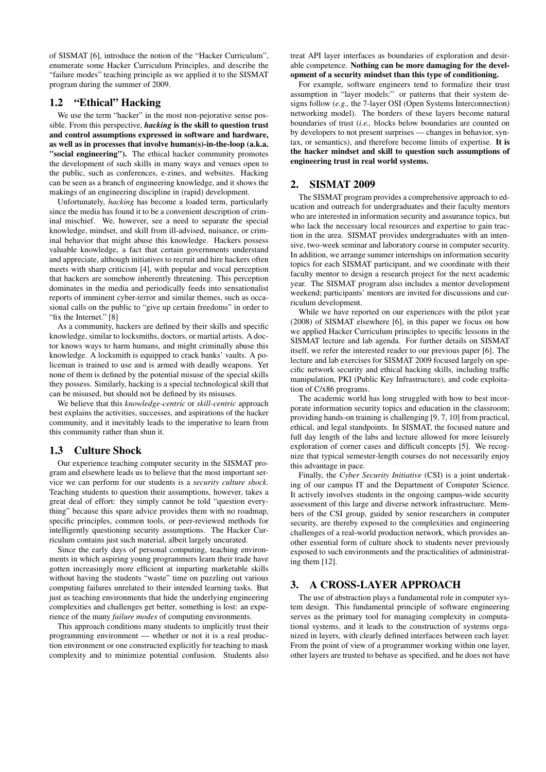of SISMAT [6], introduce the notion of the "Hacker Curriculum", enumerate some Hacker Curriculum Principles, and describe the "failure modes" teaching principle as we applied it to the SISMAT program during the summer of 2009.

#### 1.2 "Ethical" Hacking

We use the term "hacker" in the most non-pejorative sense possible. From this perspective, *hacking* is the skill to question trust and control assumptions expressed in software and hardware, as well as in processes that involve human(s)-in-the-loop (a.k.a. "social engineering"). The ethical hacker community promotes the development of such skills in many ways and venues open to the public, such as conferences, e-zines, and websites. Hacking can be seen as a branch of engineering knowledge, and it shows the makings of an engineering discipline in (rapid) development.

Unfortunately, *hacking* has become a loaded term, particularly since the media has found it to be a convenient description of criminal mischief. We, however, see a need to separate the special knowledge, mindset, and skill from ill-advised, nuisance, or criminal behavior that might abuse this knowledge. Hackers possess valuable knowledge, a fact that certain governments understand and appreciate, although initiatives to recruit and hire hackers often meets with sharp criticism [4], with popular and vocal perception that hackers are somehow inherently threatening. This perception dominates in the media and periodically feeds into sensationalist reports of imminent cyber-terror and similar themes, such as occasional calls on the public to "give up certain freedoms" in order to "fix the Internet." [8]

As a community, hackers are defined by their skills and specific knowledge, similar to locksmiths, doctors, or martial artists. A doctor knows ways to harm humans, and might criminally abuse this knowledge. A locksmith is equipped to crack banks' vaults. A policeman is trained to use and is armed with deadly weapons. Yet none of them is defined by the potential misuse of the special skills they possess. Similarly, hacking is a special technological skill that can be misused, but should not be defined by its misuses.

We believe that this *knowledge-centric* or *skill-centric* approach best explains the activities, successes, and aspirations of the hacker community, and it inevitably leads to the imperative to learn from this community rather than shun it.

#### 1.3 Culture Shock

Our experience teaching computer security in the SISMAT program and elsewhere leads us to believe that the most important service we can perform for our students is a *security culture shock*. Teaching students to question their assumptions, however, takes a great deal of effort: they simply cannot be told "question everything" because this spare advice provides them with no roadmap, specific principles, common tools, or peer-reviewed methods for intelligently questioning security assumptions. The Hacker Curriculum contains just such material, albeit largely uncurated.

Since the early days of personal computing, teaching environments in which aspiring young programmers learn their trade have gotten increasingly more efficient at imparting marketable skills without having the students "waste" time on puzzling out various computing failures unrelated to their intended learning tasks. But just as teaching environments that hide the underlying engineering complexities and challenges get better, something is lost: an experience of the many *failure modes* of computing environments.

This approach conditions many students to implicitly trust their programming environment — whether or not it is a real production environment or one constructed explicitly for teaching to mask complexity and to minimize potential confusion. Students also treat API layer interfaces as boundaries of exploration and desirable competence. Nothing can be more damaging for the development of a security mindset than this type of conditioning.

For example, software engineers tend to formalize their trust assumption in "layer models:" or patterns that their system designs follow (*e.g.,* the 7-layer OSI (Open Systems Interconnection) networking model). The borders of these layers become natural boundaries of trust (*i.e.,* blocks below boundaries are counted on by developers to not present surprises — changes in behavior, syntax, or semantics), and therefore become limits of expertise. It is the hacker mindset and skill to question such assumptions of engineering trust in real world systems.

#### 2. SISMAT 2009

The SISMAT program provides a comprehensive approach to education and outreach for undergraduates and their faculty mentors who are interested in information security and assurance topics, but who lack the necessary local resources and expertise to gain traction in the area. SISMAT provides undergraduates with an intensive, two-week seminar and laboratory course in computer security. In addition, we arrange summer internships on information security topics for each SISMAT participant, and we coordinate with their faculty mentor to design a research project for the next academic year. The SISMAT program also includes a mentor development weekend; participants' mentors are invited for discussions and curriculum development.

While we have reported on our experiences with the pilot year (2008) of SISMAT elsewhere [6], in this paper we focus on how we applied Hacker Curriculum principles to specific lessons in the SISMAT lecture and lab agenda. For further details on SISMAT itself, we refer the interested reader to our previous paper [6]. The lecture and lab exercises for SISMAT 2009 focused largely on specific network security and ethical hacking skills, including traffic manipulation, PKI (Public Key Infrastructure), and code exploitation of C/x86 programs.

The academic world has long struggled with how to best incorporate information security topics and education in the classroom; providing hands-on training is challenging [9, 7, 10] from practical, ethical, and legal standpoints. In SISMAT, the focused nature and full day length of the labs and lecture allowed for more leisurely exploration of corner cases and difficult concepts [5]. We recognize that typical semester-length courses do not necessarily enjoy this advantage in pace.

Finally, the *Cyber Security Initiative* (CSI) is a joint undertaking of our campus IT and the Department of Computer Science. It actively involves students in the ongoing campus-wide security assessment of this large and diverse network infrastructure. Members of the CSI group, guided by senior researchers in computer security, are thereby exposed to the complexities and engineering challenges of a real-world production network, which provides another essential form of culture shock to students never previously exposed to such environments and the practicalities of administrating them [12].

#### 3. A CROSS-LAYER APPROACH

The use of abstraction plays a fundamental role in computer system design. This fundamental principle of software engineering serves as the primary tool for managing complexity in computational systems, and it leads to the construction of systems organized in layers, with clearly defined interfaces between each layer. From the point of view of a programmer working within one layer, other layers are trusted to behave as specified, and he does not have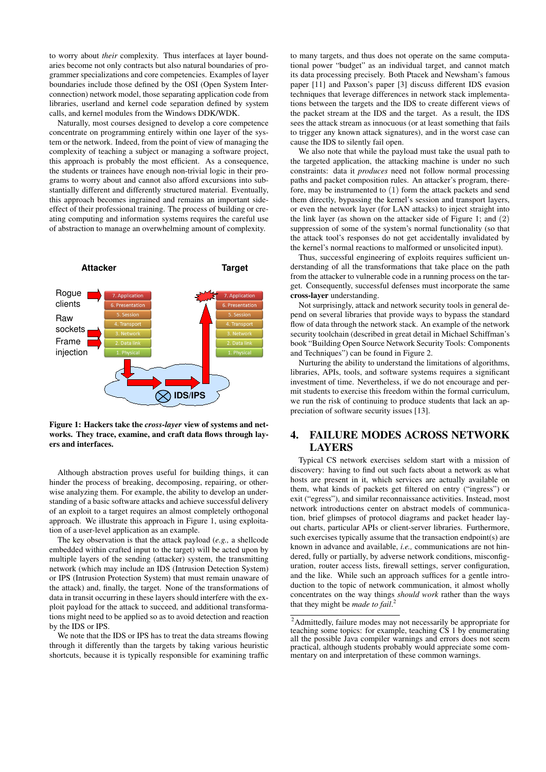to worry about *their* complexity. Thus interfaces at layer boundaries become not only contracts but also natural boundaries of programmer specializations and core competencies. Examples of layer boundaries include those defined by the OSI (Open System Interconnection) network model, those separating application code from libraries, userland and kernel code separation defined by system calls, and kernel modules from the Windows DDK/WDK.

Naturally, most courses designed to develop a core competence concentrate on programming entirely within one layer of the system or the network. Indeed, from the point of view of managing the complexity of teaching a subject or managing a software project, this approach is probably the most efficient. As a consequence, the students or trainees have enough non-trivial logic in their programs to worry about and cannot also afford excursions into substantially different and differently structured material. Eventually, this approach becomes ingrained and remains an important sideeffect of their professional training. The process of building or creating computing and information systems requires the careful use of abstraction to manage an overwhelming amount of complexity.



Figure 1: Hackers take the *cross-layer* view of systems and networks. They trace, examine, and craft data flows through layers and interfaces.

Although abstraction proves useful for building things, it can hinder the process of breaking, decomposing, repairing, or otherwise analyzing them. For example, the ability to develop an understanding of a basic software attacks and achieve successful delivery of an exploit to a target requires an almost completely orthogonal approach. We illustrate this approach in Figure 1, using exploitation of a user-level application as an example.

The key observation is that the attack payload (*e.g.,* a shellcode embedded within crafted input to the target) will be acted upon by multiple layers of the sending (attacker) system, the transmitting network (which may include an IDS (Intrusion Detection System) or IPS (Intrusion Protection System) that must remain unaware of the attack) and, finally, the target. None of the transformations of data in transit occurring in these layers should interfere with the exploit payload for the attack to succeed, and additional transformations might need to be applied so as to avoid detection and reaction by the IDS or IPS.

We note that the IDS or IPS has to treat the data streams flowing through it differently than the targets by taking various heuristic shortcuts, because it is typically responsible for examining traffic

to many targets, and thus does not operate on the same computational power "budget" as an individual target, and cannot match its data processing precisely. Both Ptacek and Newsham's famous paper [11] and Paxson's paper [3] discuss different IDS evasion techniques that leverage differences in network stack implementations between the targets and the IDS to create different views of the packet stream at the IDS and the target. As a result, the IDS sees the attack stream as innocuous (or at least something that fails to trigger any known attack signatures), and in the worst case can cause the IDS to silently fail open.

We also note that while the payload must take the usual path to the targeted application, the attacking machine is under no such constraints: data it *produces* need not follow normal processing paths and packet composition rules. An attacker's program, therefore, may be instrumented to (1) form the attack packets and send them directly, bypassing the kernel's session and transport layers, or even the network layer (for LAN attacks) to inject straight into the link layer (as shown on the attacker side of Figure 1; and (2) suppression of some of the system's normal functionality (so that the attack tool's responses do not get accidentally invalidated by the kernel's normal reactions to malformed or unsolicited input).

Thus, successful engineering of exploits requires sufficient understanding of all the transformations that take place on the path from the attacker to vulnerable code in a running process on the target. Consequently, successful defenses must incorporate the same cross-layer understanding.

Not surprisingly, attack and network security tools in general depend on several libraries that provide ways to bypass the standard flow of data through the network stack. An example of the network security toolchain (described in great detail in Michael Schiffman's book "Building Open Source Network Security Tools: Components and Techniques") can be found in Figure 2.

Nurturing the ability to understand the limitations of algorithms, libraries, APIs, tools, and software systems requires a significant investment of time. Nevertheless, if we do not encourage and permit students to exercise this freedom within the formal curriculum, we run the risk of continuing to produce students that lack an appreciation of software security issues [13].

### 4. FAILURE MODES ACROSS NETWORK LAYERS

Typical CS network exercises seldom start with a mission of discovery: having to find out such facts about a network as what hosts are present in it, which services are actually available on them, what kinds of packets get filtered on entry ("ingress") or exit ("egress"), and similar reconnaissance activities. Instead, most network introductions center on abstract models of communication, brief glimpses of protocol diagrams and packet header layout charts, particular APIs or client-server libraries. Furthermore, such exercises typically assume that the transaction endpoint(s) are known in advance and available, *i.e.,* communications are not hindered, fully or partially, by adverse network conditions, misconfiguration, router access lists, firewall settings, server configuration, and the like. While such an approach suffices for a gentle introduction to the topic of network communication, it almost wholly concentrates on the way things *should work* rather than the ways that they might be *made to fail*. 2

<sup>2</sup>Admittedly, failure modes may not necessarily be appropriate for teaching some topics: for example, teaching CS 1 by enumerating all the possible Java compiler warnings and errors does not seem practical, although students probably would appreciate some commentary on and interpretation of these common warnings.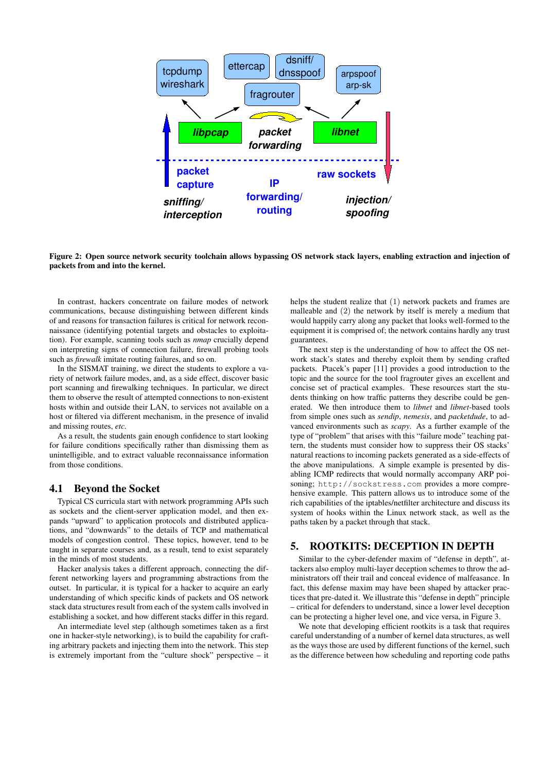

Figure 2: Open source network security toolchain allows bypassing OS network stack layers, enabling extraction and injection of packets from and into the kernel.

In contrast, hackers concentrate on failure modes of network communications, because distinguishing between different kinds of and reasons for transaction failures is critical for network reconnaissance (identifying potential targets and obstacles to exploitation). For example, scanning tools such as *nmap* crucially depend on interpreting signs of connection failure, firewall probing tools such as *firewalk* imitate routing failures, and so on.

In the SISMAT training, we direct the students to explore a variety of network failure modes, and, as a side effect, discover basic port scanning and firewalking techniques. In particular, we direct them to observe the result of attempted connections to non-existent hosts within and outside their LAN, to services not available on a host or filtered via different mechanism, in the presence of invalid and missing routes, *etc.*

As a result, the students gain enough confidence to start looking for failure conditions specifically rather than dismissing them as unintelligible, and to extract valuable reconnaissance information from those conditions.

#### 4.1 Beyond the Socket

Typical CS curricula start with network programming APIs such as sockets and the client-server application model, and then expands "upward" to application protocols and distributed applications, and "downwards" to the details of TCP and mathematical models of congestion control. These topics, however, tend to be taught in separate courses and, as a result, tend to exist separately in the minds of most students.

Hacker analysis takes a different approach, connecting the different networking layers and programming abstractions from the outset. In particular, it is typical for a hacker to acquire an early understanding of which specific kinds of packets and OS network stack data structures result from each of the system calls involved in establishing a socket, and how different stacks differ in this regard.

An intermediate level step (although sometimes taken as a first one in hacker-style networking), is to build the capability for crafting arbitrary packets and injecting them into the network. This step is extremely important from the "culture shock" perspective – it helps the student realize that  $(1)$  network packets and frames are malleable and (2) the network by itself is merely a medium that would happily carry along any packet that looks well-formed to the equipment it is comprised of; the network contains hardly any trust guarantees.

The next step is the understanding of how to affect the OS network stack's states and thereby exploit them by sending crafted packets. Ptacek's paper [11] provides a good introduction to the topic and the source for the tool fragrouter gives an excellent and concise set of practical examples. These resources start the students thinking on how traffic patterns they describe could be generated. We then introduce them to *libnet* and *libnet*-based tools from simple ones such as *sendip*, *nemesis*, and *packetdude*, to advanced environments such as *scapy*. As a further example of the type of "problem" that arises with this "failure mode" teaching pattern, the students must consider how to suppress their OS stacks' natural reactions to incoming packets generated as a side-effects of the above manipulations. A simple example is presented by disabling ICMP redirects that would normally accompany ARP poisoning; http://sockstress.com provides a more comprehensive example. This pattern allows us to introduce some of the rich capabilities of the iptables/netfilter architecture and discuss its system of hooks within the Linux network stack, as well as the paths taken by a packet through that stack.

#### 5. ROOTKITS: DECEPTION IN DEPTH

Similar to the cyber-defender maxim of "defense in depth", attackers also employ multi-layer deception schemes to throw the administrators off their trail and conceal evidence of malfeasance. In fact, this defense maxim may have been shaped by attacker practices that pre-dated it. We illustrate this "defense in depth" principle – critical for defenders to understand, since a lower level deception can be protecting a higher level one, and vice versa, in Figure 3.

We note that developing efficient rootkits is a task that requires careful understanding of a number of kernel data structures, as well as the ways those are used by different functions of the kernel, such as the difference between how scheduling and reporting code paths